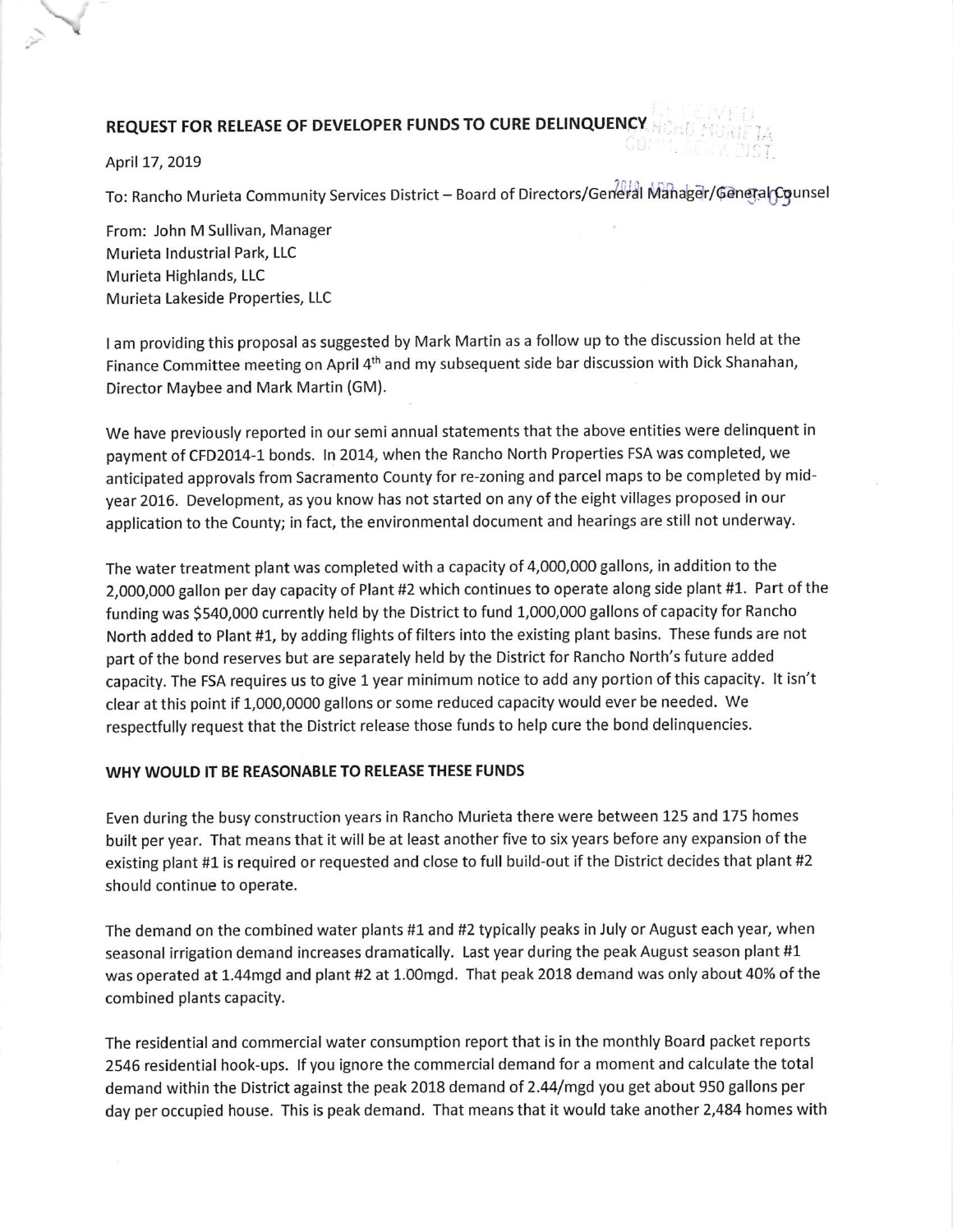## REQUEST FOR RELEASE OF DEVELOPER FUNDS TO CURE DELINQUENCY

April 17, 2019

To: Rancho Murieta Community Services District - Board of Directors/General Manager/General Counsel

From: John M Sullivan, Manager Murieta Industrial Park, LLC Murieta Highlands, LLC Murieta Lakeside Properties, LLC

<sup>t</sup>am providing this proposal as suggested by Mark Martin as a follow up to the discussion held at the Finance Committee meeting on April 4<sup>th</sup> and my subsequent side bar discussion with Dick Shanahan, Director Maybee and Mark Martin (GM).

We have previously reported in our semi annual statements that the above entities were delinquent in payment of CFD2014-1 bonds. In 2014, when the Rancho North Properties FSA was completed, we anticipated approvals from Sacramento County for re-zoning and parcel maps to be completed by midyear 2016. Development, as you know has not started on any of the eight villages proposed in our application to the County; in fact, the environmental document and hearings are still not underway.

The water treatment plant was completed with a capacity of 4,000,000 gallons, in addition to the 2,000,000 gallon per day capacity of Plant #2 which continues to operate along side plant #1. Part of the funding was 5540,000 currently held by the District to fund 1,000,000 gallons of capacity for Rancho North added to Plant #1, by adding flights of filters into the existing plant basins. These funds are not part of the bond reserves but are separately held by the District for Rancho North's future added capacity. The FSA requires us to give 1 year minimum notice to add any portion of this capacity. lt isn't clear at this point if 1,000,0000 gallons or some reduced capacity would ever be needed. We respectfully request that the District release those funds to help cure the bond delinquencies.

## WHY WOULD IT BE REASONABLE TO RELEASE THESE FUNDS

Even during the busy construction years in Rancho Murieta there were between 125 and 175 homes built per year. That means that it will be at least another five to six years before any expansion of the existing plant #1 is required or requested and close to full build-out if the District decides that plant #2 should continue to operate.

The demand on the combined water plants #1 and #2 typically peaks in July or August each year, when seasonal irrigation demand increases dramatically. Last year during the peak August season plant  $#1$ was operated at 1.44mgd and plant #2 at 1.00mgd. That peak 2018 demand was only about 40% of the combined plants capacity.

The residential and commercial water consumption report that is in the monthly Board packet reports 2546 residential hook-ups. If you ignore the commercial demand for a moment and calculate the total demand within the District against the peak 2018 demand of 2.44/mgd you get about 950 gallons per day per occupied house. This is peak demand. That means that it would take another 2,484 homes with